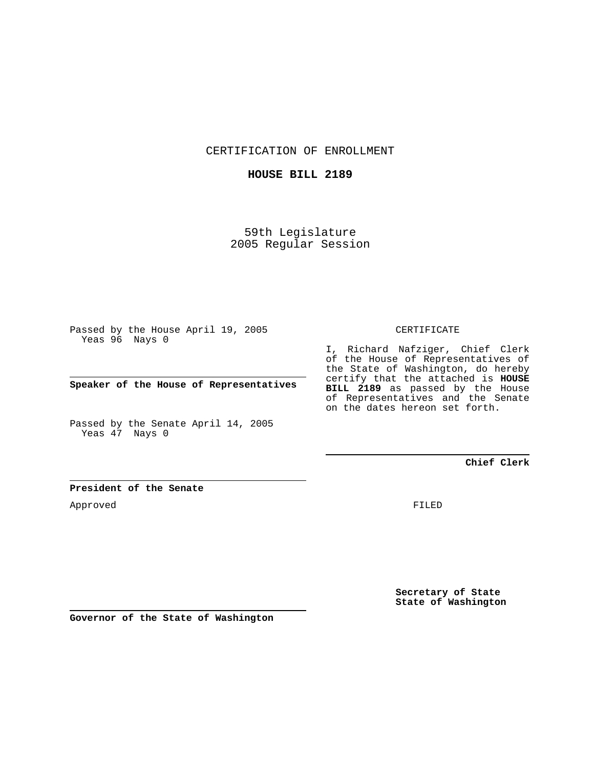CERTIFICATION OF ENROLLMENT

## **HOUSE BILL 2189**

59th Legislature 2005 Regular Session

Passed by the House April 19, 2005 Yeas 96 Nays 0

**Speaker of the House of Representatives**

Passed by the Senate April 14, 2005 Yeas 47 Nays 0

#### CERTIFICATE

I, Richard Nafziger, Chief Clerk of the House of Representatives of the State of Washington, do hereby certify that the attached is **HOUSE BILL 2189** as passed by the House of Representatives and the Senate on the dates hereon set forth.

## **Chief Clerk**

#### **President of the Senate**

Approved

FILED

**Secretary of State State of Washington**

**Governor of the State of Washington**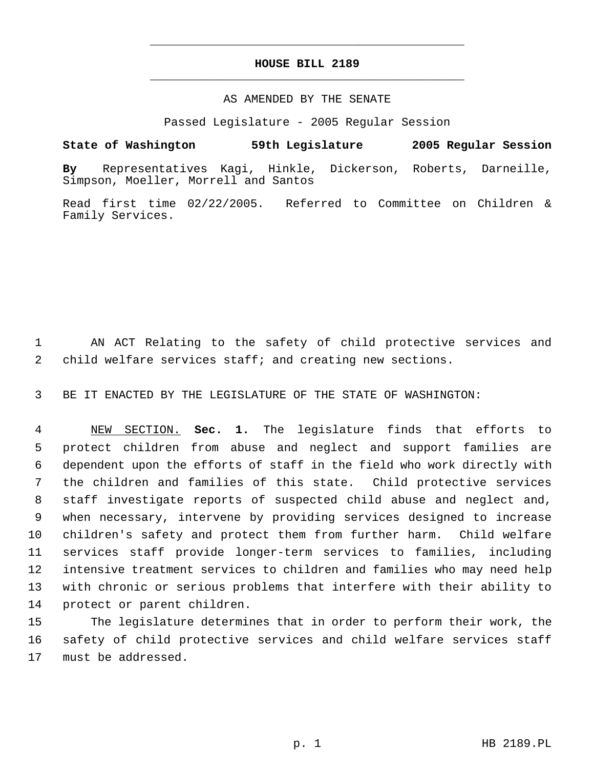# **HOUSE BILL 2189** \_\_\_\_\_\_\_\_\_\_\_\_\_\_\_\_\_\_\_\_\_\_\_\_\_\_\_\_\_\_\_\_\_\_\_\_\_\_\_\_\_\_\_\_\_

\_\_\_\_\_\_\_\_\_\_\_\_\_\_\_\_\_\_\_\_\_\_\_\_\_\_\_\_\_\_\_\_\_\_\_\_\_\_\_\_\_\_\_\_\_

### AS AMENDED BY THE SENATE

Passed Legislature - 2005 Regular Session

# **State of Washington 59th Legislature 2005 Regular Session**

**By** Representatives Kagi, Hinkle, Dickerson, Roberts, Darneille, Simpson, Moeller, Morrell and Santos

Read first time 02/22/2005. Referred to Committee on Children & Family Services.

 AN ACT Relating to the safety of child protective services and child welfare services staff; and creating new sections.

BE IT ENACTED BY THE LEGISLATURE OF THE STATE OF WASHINGTON:

 NEW SECTION. **Sec. 1.** The legislature finds that efforts to protect children from abuse and neglect and support families are dependent upon the efforts of staff in the field who work directly with the children and families of this state. Child protective services staff investigate reports of suspected child abuse and neglect and, when necessary, intervene by providing services designed to increase children's safety and protect them from further harm. Child welfare services staff provide longer-term services to families, including intensive treatment services to children and families who may need help with chronic or serious problems that interfere with their ability to protect or parent children.

 The legislature determines that in order to perform their work, the safety of child protective services and child welfare services staff must be addressed.